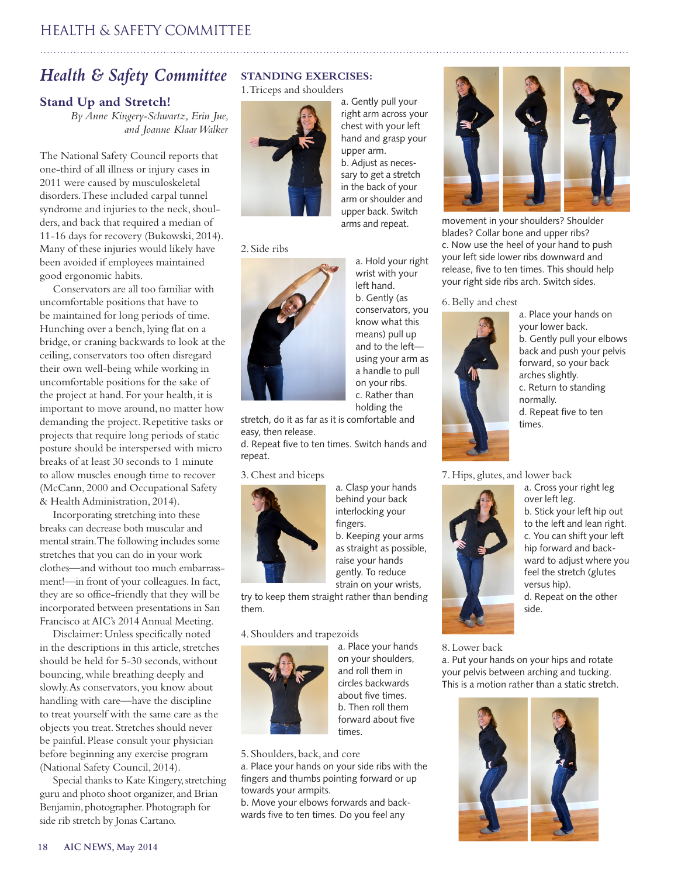# *Health & Safety Committee*

## **Stand Up and Stretch!**

*By Anne Kingery-Schwartz, Erin Jue, and Joanne Klaar Walker*

The National Safety Council reports that one-third of all illness or injury cases in 2011 were caused by musculoskeletal disorders. These included carpal tunnel syndrome and injuries to the neck, shoulders, and back that required a median of 11-16 days for recovery (Bukowski, 2014). Many of these injuries would likely have been avoided if employees maintained good ergonomic habits.

Conservators are all too familiar with uncomfortable positions that have to be maintained for long periods of time. Hunching over a bench, lying flat on a bridge, or craning backwards to look at the ceiling, conservators too often disregard their own well-being while working in uncomfortable positions for the sake of the project at hand. For your health, it is important to move around, no matter how demanding the project. Repetitive tasks or projects that require long periods of static posture should be interspersed with micro breaks of at least 30 seconds to 1 minute to allow muscles enough time to recover (McCann, 2000 and Occupational Safety & Health Administration, 2014).

Incorporating stretching into these breaks can decrease both muscular and mental strain. The following includes some stretches that you can do in your work clothes—and without too much embarrassment!—in front of your colleagues. In fact, they are so office-friendly that they will be incorporated between presentations in San Francisco at AIC's 2014 Annual Meeting.

Disclaimer: Unless specifically noted in the descriptions in this article, stretches should be held for 5-30 seconds, without bouncing, while breathing deeply and slowly. As conservators, you know about handling with care—have the discipline to treat yourself with the same care as the objects you treat. Stretches should never be painful. Please consult your physician before beginning any exercise program (National Safety Council, 2014).

Special thanks to Kate Kingery, stretching guru and photo shoot organizer, and Brian Benjamin, photographer. Photograph for side rib stretch by Jonas Cartano.

# **STANDING EXERCISES:**

1. Triceps and shoulders



a. Gently pull your right arm across your chest with your left hand and grasp your upper arm. b. Adjust as necessary to get a stretch in the back of your arm or shoulder and upper back. Switch arms and repeat.

#### 2. Side ribs



a. Hold your right wrist with your left hand. b. Gently (as conservators, you know what this means) pull up and to the left using your arm as a handle to pull on your ribs. c. Rather than holding the

stretch, do it as far as it is comfortable and easy, then release.

d. Repeat five to ten times. Switch hands and repeat.

3. Chest and biceps



a. Clasp your hands behind your back interlocking your fingers. b. Keeping your arms as straight as possible, raise your hands gently. To reduce strain on your wrists,

try to keep them straight rather than bending them.

4. Shoulders and trapezoids



a. Place your hands on your shoulders, and roll them in circles backwards about five times. b. Then roll them forward about five times.

5. Shoulders, back, and core

a. Place your hands on your side ribs with the fingers and thumbs pointing forward or up towards your armpits.

b. Move your elbows forwards and backwards five to ten times. Do you feel any



movement in your shoulders? Shoulder blades? Collar bone and upper ribs? c. Now use the heel of your hand to push your left side lower ribs downward and release, five to ten times. This should help your right side ribs arch. Switch sides.

6. Belly and chest



a. Place your hands on your lower back. b. Gently pull your elbows back and push your pelvis forward, so your back arches slightly. c. Return to standing normally. d. Repeat five to ten times.

7. Hips, glutes, and lower back



a. Cross your right leg over left leg. b. Stick your left hip out to the left and lean right. c. You can shift your left hip forward and backward to adjust where you feel the stretch (glutes versus hip). d. Repeat on the other side.

8. Lower back

a. Put your hands on your hips and rotate your pelvis between arching and tucking. This is a motion rather than a static stretch.